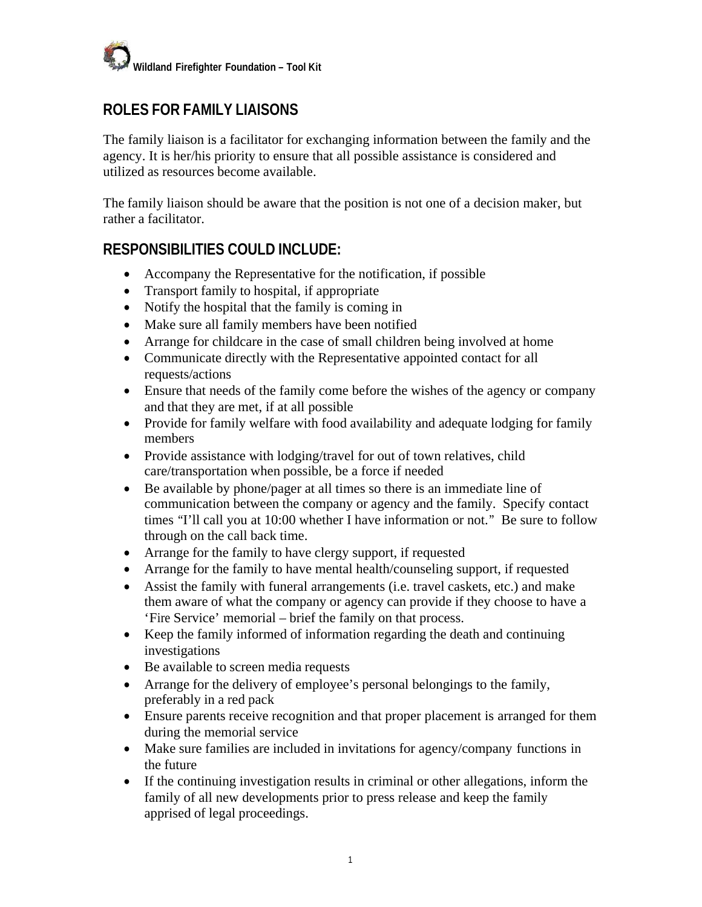

## **ROLES FOR FAMILY LIAISONS**

The family liaison is a facilitator for exchanging information between the family and the agency. It is her/his priority to ensure that all possible assistance is considered and utilized as resources become available.

The family liaison should be aware that the position is not one of a decision maker, but rather a facilitator.

## **RESPONSIBILITIES COULD INCLUDE:**

- · Accompany the Representative for the notification, if possible
- · Transport family to hospital, if appropriate
- Notify the hospital that the family is coming in
- Make sure all family members have been notified
- Arrange for childcare in the case of small children being involved at home
- Communicate directly with the Representative appointed contact for all requests/actions
- · Ensure that needs of the family come before the wishes of the agency or company and that they are met, if at all possible
- Provide for family welfare with food availability and adequate lodging for family members
- Provide assistance with lodging/travel for out of town relatives, child care/transportation when possible, be a force if needed
- · Be available by phone/pager at all times so there is an immediate line of communication between the company or agency and the family. Specify contact times "I'll call you at 10:00 whether I have information or not." Be sure to follow through on the call back time.
- · Arrange for the family to have clergy support, if requested
- · Arrange for the family to have mental health/counseling support, if requested
- · Assist the family with funeral arrangements (i.e. travel caskets, etc.) and make them aware of what the company or agency can provide if they choose to have a 'Fire Service' memorial – brief the family on that process.
- · Keep the family informed of information regarding the death and continuing investigations
- · Be available to screen media requests
- · Arrange for the delivery of employee's personal belongings to the family, preferably in a red pack
- · Ensure parents receive recognition and that proper placement is arranged for them during the memorial service
- · Make sure families are included in invitations for agency/company functions in the future
- If the continuing investigation results in criminal or other allegations, inform the family of all new developments prior to press release and keep the family apprised of legal proceedings.